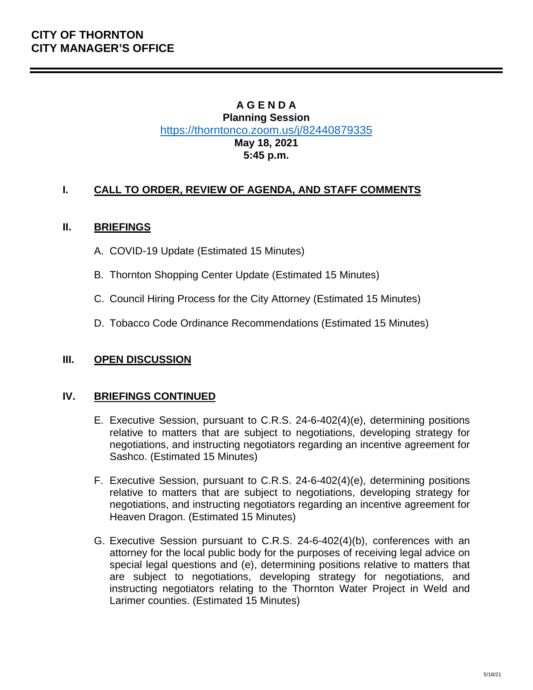## **A G E N D A Planning Session** <https://thorntonco.zoom.us/j/82440879335> **May 18, 2021 5:45 p.m.**

## **I. CALL TO ORDER, REVIEW OF AGENDA, AND STAFF COMMENTS**

## **II. BRIEFINGS**

- A. COVID-19 Update (Estimated 15 Minutes)
- B. Thornton Shopping Center Update (Estimated 15 Minutes)
- C. Council Hiring Process for the City Attorney (Estimated 15 Minutes)
- D. Tobacco Code Ordinance Recommendations (Estimated 15 Minutes)

## **III. OPEN DISCUSSION**

## **IV. BRIEFINGS CONTINUED**

- E. Executive Session, pursuant to C.R.S. 24-6-402(4)(e), determining positions relative to matters that are subject to negotiations, developing strategy for negotiations, and instructing negotiators regarding an incentive agreement for Sashco. (Estimated 15 Minutes)
- F. Executive Session, pursuant to C.R.S. 24-6-402(4)(e), determining positions relative to matters that are subject to negotiations, developing strategy for negotiations, and instructing negotiators regarding an incentive agreement for Heaven Dragon. (Estimated 15 Minutes)
- G. Executive Session pursuant to C.R.S. 24-6-402(4)(b), conferences with an attorney for the local public body for the purposes of receiving legal advice on special legal questions and (e), determining positions relative to matters that are subject to negotiations, developing strategy for negotiations, and instructing negotiators relating to the Thornton Water Project in Weld and Larimer counties. (Estimated 15 Minutes)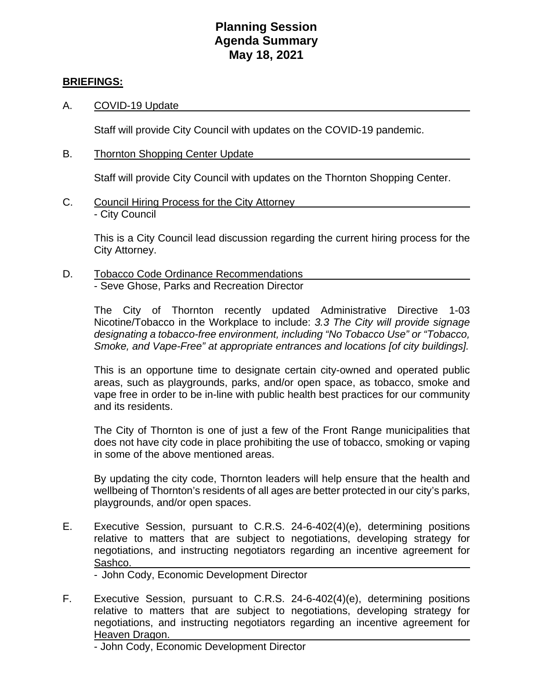## **Planning Session Agenda Summary May 18, 2021**

### **BRIEFINGS:**

A. COVID-19 Update

Staff will provide City Council with updates on the COVID-19 pandemic.

B. Thornton Shopping Center Update

Staff will provide City Council with updates on the Thornton Shopping Center.

C. Council Hiring Process for the City Attorney - City Council

> This is a City Council lead discussion regarding the current hiring process for the City Attorney.

D. Tobacco Code Ordinance Recommendations - Seve Ghose, Parks and Recreation Director

> The City of Thornton recently updated Administrative Directive 1-03 Nicotine/Tobacco in the Workplace to include: *3.3 The City will provide signage designating a tobacco-free environment, including "No Tobacco Use" or "Tobacco, Smoke, and Vape-Free" at appropriate entrances and locations [of city buildings].*

> This is an opportune time to designate certain city-owned and operated public areas, such as playgrounds, parks, and/or open space, as tobacco, smoke and vape free in order to be in-line with public health best practices for our community and its residents.

> The City of Thornton is one of just a few of the Front Range municipalities that does not have city code in place prohibiting the use of tobacco, smoking or vaping in some of the above mentioned areas.

> By updating the city code, Thornton leaders will help ensure that the health and wellbeing of Thornton's residents of all ages are better protected in our city's parks, playgrounds, and/or open spaces.

E. Executive Session, pursuant to C.R.S. 24-6-402(4)(e), determining positions relative to matters that are subject to negotiations, developing strategy for negotiations, and instructing negotiators regarding an incentive agreement for Sashco.

- John Cody, Economic Development Director

F. Executive Session, pursuant to C.R.S. 24-6-402(4)(e), determining positions relative to matters that are subject to negotiations, developing strategy for negotiations, and instructing negotiators regarding an incentive agreement for Heaven Dragon.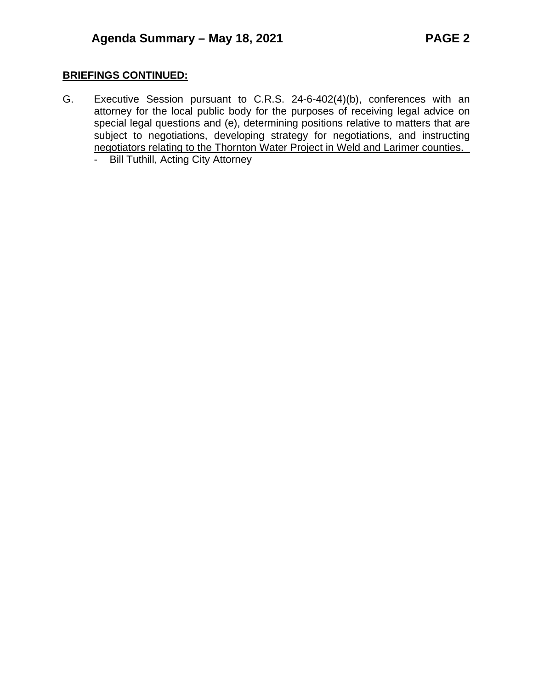## **BRIEFINGS CONTINUED:**

- G. Executive Session pursuant to C.R.S. 24-6-402(4)(b), conferences with an attorney for the local public body for the purposes of receiving legal advice on special legal questions and (e), determining positions relative to matters that are subject to negotiations, developing strategy for negotiations, and instructing negotiators relating to the Thornton Water Project in Weld and Larimer counties.
	- Bill Tuthill, Acting City Attorney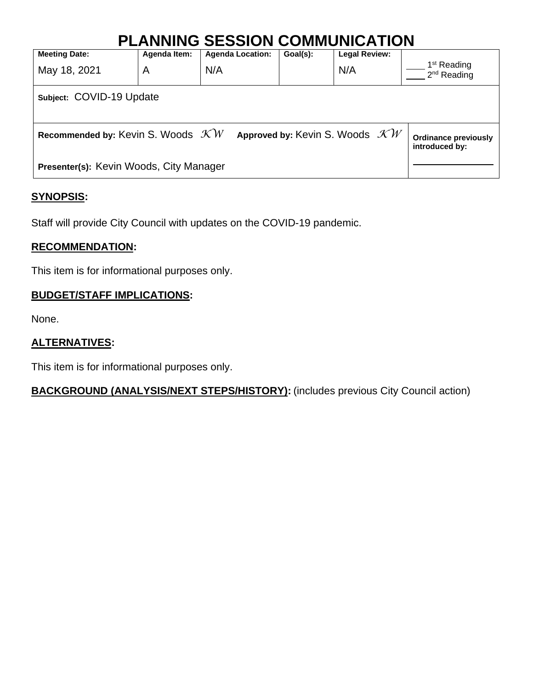| <b>PLANNING SESSION COMMUNICATION</b>                                                                                                        |              |                         |          |                      |                                          |  |  |
|----------------------------------------------------------------------------------------------------------------------------------------------|--------------|-------------------------|----------|----------------------|------------------------------------------|--|--|
| <b>Meeting Date:</b>                                                                                                                         | Agenda Item: | <b>Agenda Location:</b> | Goal(s): | <b>Legal Review:</b> |                                          |  |  |
| May 18, 2021                                                                                                                                 | A            | N/A                     |          | N/A                  | 1 <sup>st</sup> Reading<br>$2nd$ Reading |  |  |
| Subject: COVID-19 Update                                                                                                                     |              |                         |          |                      |                                          |  |  |
| Recommended by: Kevin S. Woods $\mathcal{K}W$<br>Approved by: Kevin S. Woods $\mathcal{K}W$<br><b>Ordinance previously</b><br>introduced by: |              |                         |          |                      |                                          |  |  |
| Presenter(s): Kevin Woods, City Manager                                                                                                      |              |                         |          |                      |                                          |  |  |

## **SYNOPSIS:**

Staff will provide City Council with updates on the COVID-19 pandemic.

## **RECOMMENDATION:**

This item is for informational purposes only.

## **BUDGET/STAFF IMPLICATIONS:**

None.

## **ALTERNATIVES:**

This item is for informational purposes only.

## **BACKGROUND (ANALYSIS/NEXT STEPS/HISTORY):** (includes previous City Council action)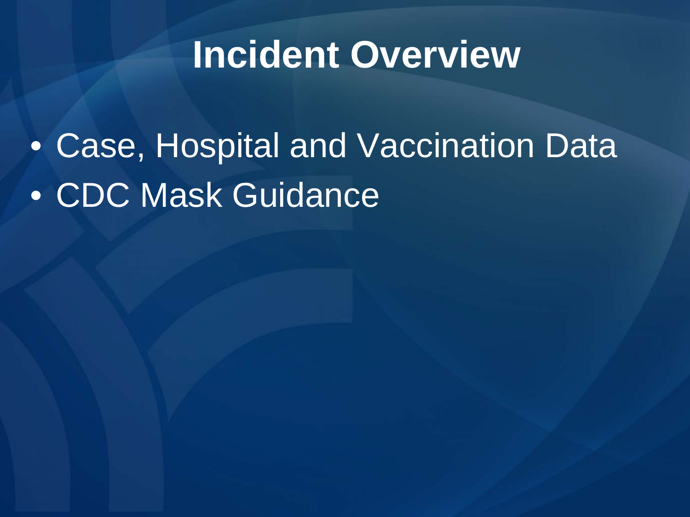## **Incident Overview**

• Case, Hospital and Vaccination Data • CDC Mask Guidance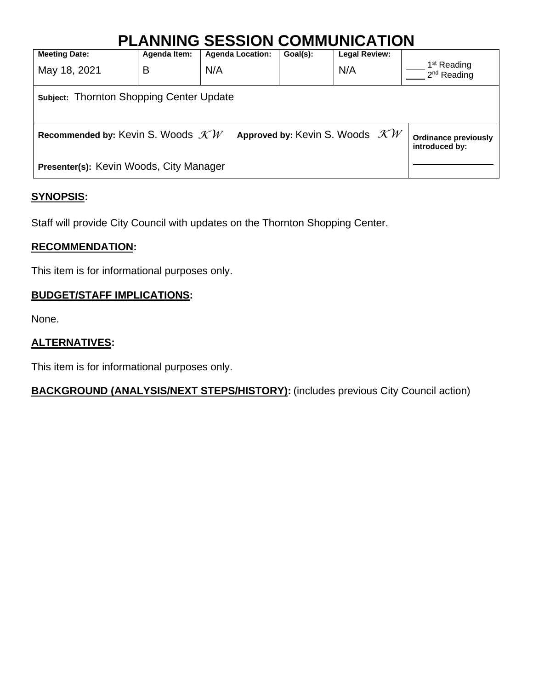## **PLANNING SESSION COMMUNICATION**

| <u> Сінінонном і юн</u>                                                                                                                      |              |                         |          |                      |                                                    |  |  |
|----------------------------------------------------------------------------------------------------------------------------------------------|--------------|-------------------------|----------|----------------------|----------------------------------------------------|--|--|
| <b>Meeting Date:</b>                                                                                                                         | Agenda Item: | <b>Agenda Location:</b> | Goal(s): | <b>Legal Review:</b> |                                                    |  |  |
| May 18, 2021                                                                                                                                 | B            | N/A                     |          | N/A                  | 1 <sup>st</sup> Reading<br>2 <sup>nd</sup> Reading |  |  |
| <b>Subject: Thornton Shopping Center Update</b>                                                                                              |              |                         |          |                      |                                                    |  |  |
| Approved by: Kevin S. Woods $\mathcal{KW}$<br>Recommended by: Kevin S. Woods $\mathcal{K}W$<br><b>Ordinance previously</b><br>introduced by: |              |                         |          |                      |                                                    |  |  |
| Presenter(s): Kevin Woods, City Manager                                                                                                      |              |                         |          |                      |                                                    |  |  |

## **SYNOPSIS:**

Staff will provide City Council with updates on the Thornton Shopping Center.

## **RECOMMENDATION:**

This item is for informational purposes only.

## **BUDGET/STAFF IMPLICATIONS:**

None.

## **ALTERNATIVES:**

This item is for informational purposes only.

## **BACKGROUND (ANALYSIS/NEXT STEPS/HISTORY):** (includes previous City Council action)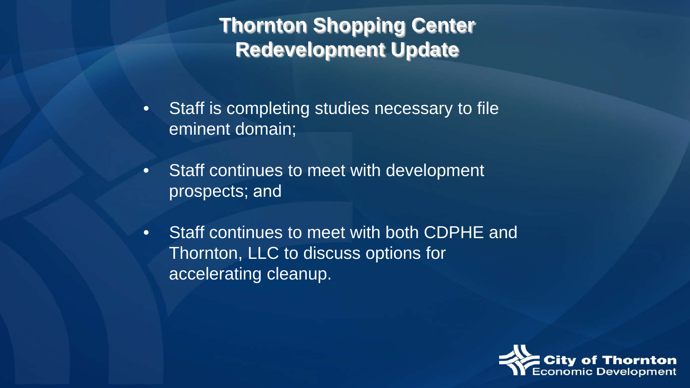## **Thornton Shopping Center Redevelopment Update**

- Staff is completing studies necessary to file eminent domain;
- Staff continues to meet with development prospects; and
- Staff continues to meet with both CDPHE and Thornton, LLC to discuss options for accelerating cleanup.

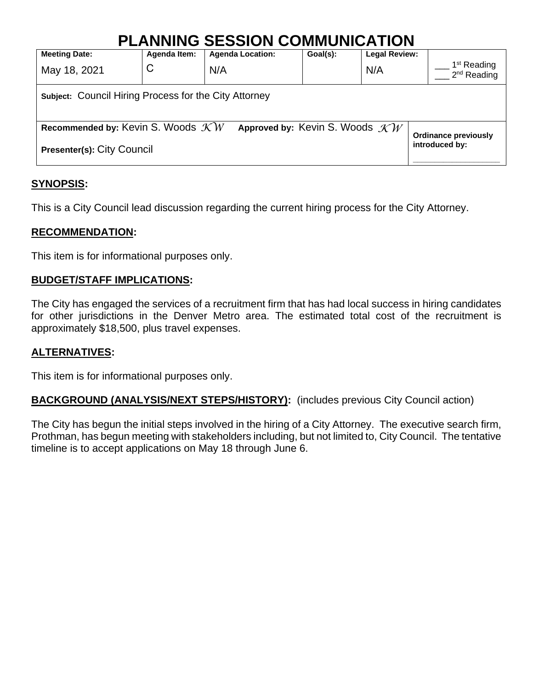## **PLANNING SESSION COMMUNICATION**

| <b>Meeting Date:</b>                                                                                                       | Agenda Item: | <b>Agenda Location:</b> | Goal(s): | <b>Legal Review:</b> |                                          |  |  |
|----------------------------------------------------------------------------------------------------------------------------|--------------|-------------------------|----------|----------------------|------------------------------------------|--|--|
| May 18, 2021                                                                                                               | C            | N/A                     |          | N/A                  | 1 <sup>st</sup> Reading<br>$2nd$ Reading |  |  |
| <b>Subject: Council Hiring Process for the City Attorney</b>                                                               |              |                         |          |                      |                                          |  |  |
| Recommended by: Kevin S. Woods $\mathcal{K}W$<br>Approved by: Kevin S. Woods $\mathcal{KW}$<br><b>Ordinance previously</b> |              |                         |          |                      |                                          |  |  |
| Presenter(s): City Council                                                                                                 |              |                         |          |                      | introduced by:                           |  |  |

## **SYNOPSIS:**

This is a City Council lead discussion regarding the current hiring process for the City Attorney.

## **RECOMMENDATION:**

This item is for informational purposes only.

## **BUDGET/STAFF IMPLICATIONS:**

The City has engaged the services of a recruitment firm that has had local success in hiring candidates for other jurisdictions in the Denver Metro area. The estimated total cost of the recruitment is approximately \$18,500, plus travel expenses.

## **ALTERNATIVES:**

This item is for informational purposes only.

**BACKGROUND (ANALYSIS/NEXT STEPS/HISTORY):** (includes previous City Council action)

The City has begun the initial steps involved in the hiring of a City Attorney. The executive search firm, Prothman, has begun meeting with stakeholders including, but not limited to, City Council. The tentative timeline is to accept applications on May 18 through June 6.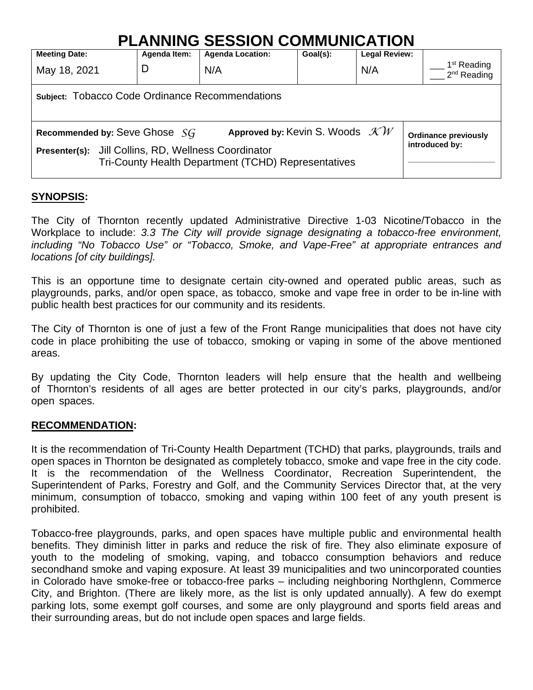## **PLANNING SESSION COMMUNICATION**

| <b>Meeting Date:</b>                                                                                           | Agenda Item: | <b>Agenda Location:</b> | Goal(s): | <b>Legal Review:</b> |  |                                          |  |
|----------------------------------------------------------------------------------------------------------------|--------------|-------------------------|----------|----------------------|--|------------------------------------------|--|
| May 18, 2021                                                                                                   | D            | N/A                     |          | N/A                  |  | 1 <sup>st</sup> Reading<br>$2nd$ Reading |  |
| <b>Subject: Tobacco Code Ordinance Recommendations</b>                                                         |              |                         |          |                      |  |                                          |  |
| Approved by: Kevin S. Woods $\mathcal{KW}$<br>Recommended by: Seve Ghose SG<br><b>Ordinance previously</b>     |              |                         |          |                      |  |                                          |  |
| Jill Collins, RD, Wellness Coordinator<br>Presenter(s):<br>Tri-County Health Department (TCHD) Representatives |              |                         |          |                      |  | introduced by:                           |  |

## **SYNOPSIS:**

The City of Thornton recently updated Administrative Directive 1-03 Nicotine/Tobacco in the Workplace to include: *3.3 The City will provide signage designating a tobacco-free environment, including "No Tobacco Use" or "Tobacco, Smoke, and Vape-Free" at appropriate entrances and locations [of city buildings].* 

This is an opportune time to designate certain city-owned and operated public areas, such as playgrounds, parks, and/or open space, as tobacco, smoke and vape free in order to be in-line with public health best practices for our community and its residents.

The City of Thornton is one of just a few of the Front Range municipalities that does not have city code in place prohibiting the use of tobacco, smoking or vaping in some of the above mentioned areas.

By updating the City Code, Thornton leaders will help ensure that the health and wellbeing of Thornton's residents of all ages are better protected in our city's parks, playgrounds, and/or open spaces.

## **RECOMMENDATION:**

It is the recommendation of Tri-County Health Department (TCHD) that parks, playgrounds, trails and open spaces in Thornton be designated as completely tobacco, smoke and vape free in the city code. It is the recommendation of the Wellness Coordinator, Recreation Superintendent, the Superintendent of Parks, Forestry and Golf, and the Community Services Director that, at the very minimum, consumption of tobacco, smoking and vaping within 100 feet of any youth present is prohibited.

Tobacco-free playgrounds, parks, and open spaces have multiple public and environmental health benefits. They diminish litter in parks and reduce the risk of fire. They also eliminate exposure of youth to the modeling of smoking, vaping, and tobacco consumption behaviors and reduce secondhand smoke and vaping exposure. At least 39 municipalities and two unincorporated counties in Colorado have smoke-free or tobacco-free parks – including neighboring Northglenn, Commerce City, and Brighton. (There are likely more, as the list is only updated annually). A few do exempt parking lots, some exempt golf courses, and some are only playground and sports field areas and their surrounding areas, but do not include open spaces and large fields.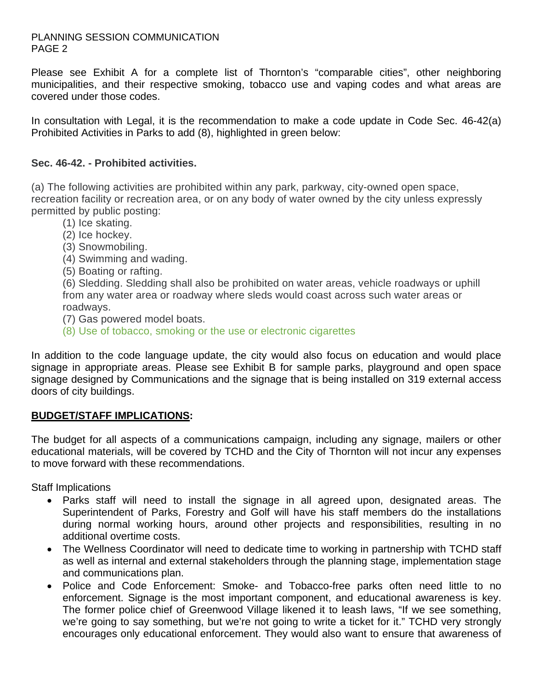### PLANNING SESSION COMMUNICATION PAGE 2

Please see Exhibit A for a complete list of Thornton's "comparable cities", other neighboring municipalities, and their respective smoking, tobacco use and vaping codes and what areas are covered under those codes.

In consultation with Legal, it is the recommendation to make a code update in Code Sec. 46-42(a) Prohibited Activities in Parks to add (8), highlighted in green below:

## **Sec. 46-42. - [Prohibited](https://outlook.office365.com/mail/inbox/id/AAQkADI2MDczYjRmLTQ3NzEtNGVhMy1hMWE0LWIzYzdkN2UwMDA0ZgAQAGVSp%2BLw10z9nBJ8qFhtmK8%3D) activities.**

(a) The following activities are prohibited within any park, parkway, city-owned open space, recreation facility or recreation area, or on any body of water owned by the city unless expressly permitted by public posting:

- (1) Ice skating.
- (2) Ice hockey.
- (3) Snowmobiling.
- (4) Swimming and wading.
- (5) Boating or rafting.

(6) Sledding. Sledding shall also be prohibited on water areas, vehicle roadways or uphill from any water area or roadway where sleds would coast across such water areas or roadways.

(7) Gas powered model boats.

(8) Use of tobacco, smoking or the use or electronic cigarettes

In addition to the code language update, the city would also focus on education and would place signage in appropriate areas. Please see Exhibit B for sample parks, playground and open space signage designed by Communications and the signage that is being installed on 319 external access doors of city buildings.

## **BUDGET/STAFF IMPLICATIONS:**

The budget for all aspects of a communications campaign, including any signage, mailers or other educational materials, will be covered by TCHD and the City of Thornton will not incur any expenses to move forward with these recommendations.

Staff Implications

- Parks staff will need to install the signage in all agreed upon, designated areas. The Superintendent of Parks, Forestry and Golf will have his staff members do the installations during normal working hours, around other projects and responsibilities, resulting in no additional overtime costs.
- The Wellness Coordinator will need to dedicate time to working in partnership with TCHD staff as well as internal and external stakeholders through the planning stage, implementation stage and communications plan.
- Police and Code Enforcement: Smoke- and Tobacco-free parks often need little to no enforcement. Signage is the most important component, and educational awareness is key. The former police chief of Greenwood Village likened it to leash laws, "If we see something, we're going to say something, but we're not going to write a ticket for it." TCHD very strongly encourages only educational enforcement. They would also want to ensure that awareness of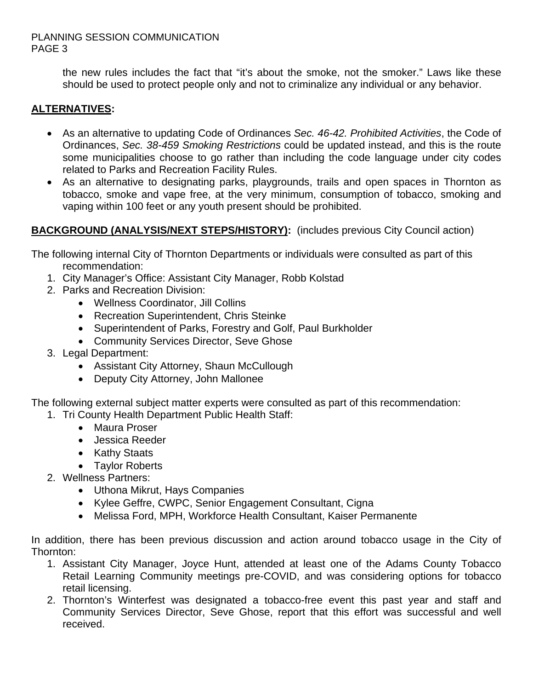### PLANNING SESSION COMMUNICATION PAGE 3

the new rules includes the fact that "it's about the smoke, not the smoker." Laws like these should be used to protect people only and not to criminalize any individual or any behavior.

## **ALTERNATIVES:**

- As an alternative to updating Code of Ordinances *Sec. 46-42. Prohibited Activities*, the Code of Ordinances, *Sec. 38-459 Smoking Restrictions* could be updated instead, and this is the route some municipalities choose to go rather than including the code language under city codes related to Parks and Recreation Facility Rules.
- As an alternative to designating parks, playgrounds, trails and open spaces in Thornton as tobacco, smoke and vape free, at the very minimum, consumption of tobacco, smoking and vaping within 100 feet or any youth present should be prohibited.

## **BACKGROUND (ANALYSIS/NEXT STEPS/HISTORY):** (includes previous City Council action)

The following internal City of Thornton Departments or individuals were consulted as part of this recommendation:

- 1. City Manager's Office: Assistant City Manager, Robb Kolstad
- 2. Parks and Recreation Division:
	- Wellness Coordinator, Jill Collins
	- Recreation Superintendent, Chris Steinke
	- Superintendent of Parks, Forestry and Golf, Paul Burkholder
	- Community Services Director, Seve Ghose
- 3. Legal Department:
	- Assistant City Attorney, Shaun McCullough
	- Deputy City Attorney, John Mallonee

The following external subject matter experts were consulted as part of this recommendation:

1. Tri County Health Department Public Health Staff:

- Maura Proser
- Jessica Reeder
- Kathy Staats
- Taylor Roberts
- 2. Wellness Partners:
	- Uthona Mikrut, Hays Companies
	- Kylee Geffre, CWPC, Senior Engagement Consultant, Cigna
	- Melissa Ford, MPH, Workforce Health Consultant, Kaiser Permanente

In addition, there has been previous discussion and action around tobacco usage in the City of Thornton:

- 1. Assistant City Manager, Joyce Hunt, attended at least one of the Adams County Tobacco Retail Learning Community meetings pre-COVID, and was considering options for tobacco retail licensing.
- 2. Thornton's Winterfest was designated a tobacco-free event this past year and staff and Community Services Director, Seve Ghose, report that this effort was successful and well received.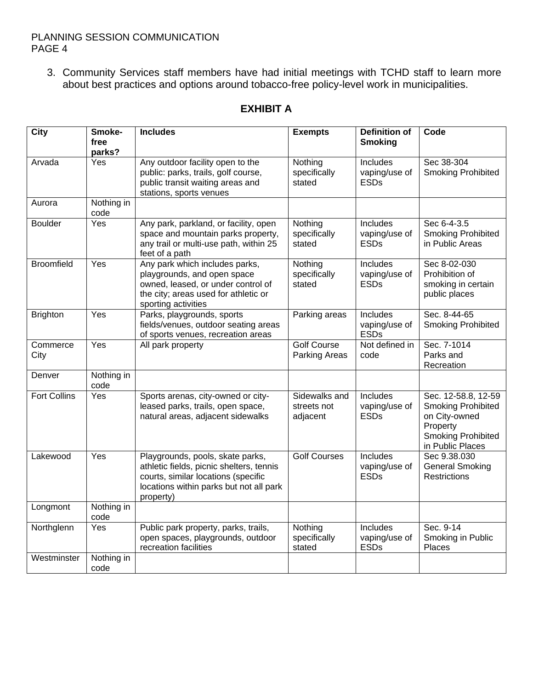## PLANNING SESSION COMMUNICATION PAGE 4

3. Community Services staff members have had initial meetings with TCHD staff to learn more about best practices and options around tobacco-free policy-level work in municipalities.

| <b>City</b>         | Smoke-<br>free     | <b>Includes</b>                                                                                                                                                             | <b>Exempts</b>                           | <b>Definition of</b><br><b>Smoking</b>   | Code                                                                                                                           |
|---------------------|--------------------|-----------------------------------------------------------------------------------------------------------------------------------------------------------------------------|------------------------------------------|------------------------------------------|--------------------------------------------------------------------------------------------------------------------------------|
|                     | parks?             |                                                                                                                                                                             |                                          |                                          |                                                                                                                                |
| Arvada              | Yes                | Any outdoor facility open to the<br>public: parks, trails, golf course,<br>public transit waiting areas and<br>stations, sports venues                                      | Nothing<br>specifically<br>stated        | Includes<br>vaping/use of<br><b>ESDs</b> | Sec 38-304<br><b>Smoking Prohibited</b>                                                                                        |
| Aurora              | Nothing in<br>code |                                                                                                                                                                             |                                          |                                          |                                                                                                                                |
| <b>Boulder</b>      | Yes                | Any park, parkland, or facility, open<br>space and mountain parks property,<br>any trail or multi-use path, within 25<br>feet of a path                                     | Nothing<br>specifically<br>stated        | Includes<br>vaping/use of<br><b>ESDs</b> | Sec 6-4-3.5<br><b>Smoking Prohibited</b><br>in Public Areas                                                                    |
| <b>Broomfield</b>   | Yes                | Any park which includes parks,<br>playgrounds, and open space<br>owned, leased, or under control of<br>the city; areas used for athletic or<br>sporting activities          | Nothing<br>specifically<br>stated        | Includes<br>vaping/use of<br><b>ESDs</b> | Sec 8-02-030<br>Prohibition of<br>smoking in certain<br>public places                                                          |
| <b>Brighton</b>     | Yes                | Parks, playgrounds, sports<br>fields/venues, outdoor seating areas<br>of sports venues, recreation areas                                                                    | Parking areas                            | Includes<br>vaping/use of<br><b>ESDs</b> | Sec. 8-44-65<br><b>Smoking Prohibited</b>                                                                                      |
| Commerce<br>City    | Yes                | All park property                                                                                                                                                           | <b>Golf Course</b><br>Parking Areas      | Not defined in<br>code                   | Sec. 7-1014<br>Parks and<br>Recreation                                                                                         |
| Denver              | Nothing in<br>code |                                                                                                                                                                             |                                          |                                          |                                                                                                                                |
| <b>Fort Collins</b> | Yes                | Sports arenas, city-owned or city-<br>leased parks, trails, open space,<br>natural areas, adjacent sidewalks                                                                | Sidewalks and<br>streets not<br>adjacent | Includes<br>vaping/use of<br><b>ESDs</b> | Sec. 12-58.8, 12-59<br><b>Smoking Prohibited</b><br>on City-owned<br>Property<br><b>Smoking Prohibited</b><br>in Public Places |
| Lakewood            | Yes                | Playgrounds, pools, skate parks,<br>athletic fields, picnic shelters, tennis<br>courts, similar locations (specific<br>locations within parks but not all park<br>property) | <b>Golf Courses</b>                      | Includes<br>vaping/use of<br><b>ESDs</b> | Sec 9.38.030<br><b>General Smoking</b><br><b>Restrictions</b>                                                                  |
| Longmont            | Nothing in<br>code |                                                                                                                                                                             |                                          |                                          |                                                                                                                                |
| Northglenn          | Yes                | Public park property, parks, trails,<br>open spaces, playgrounds, outdoor<br>recreation facilities                                                                          | Nothing<br>specifically<br>stated        | Includes<br>vaping/use of<br><b>ESDs</b> | Sec. 9-14<br>Smoking in Public<br>Places                                                                                       |
| Westminster         | Nothing in<br>code |                                                                                                                                                                             |                                          |                                          |                                                                                                                                |

## **EXHIBIT A**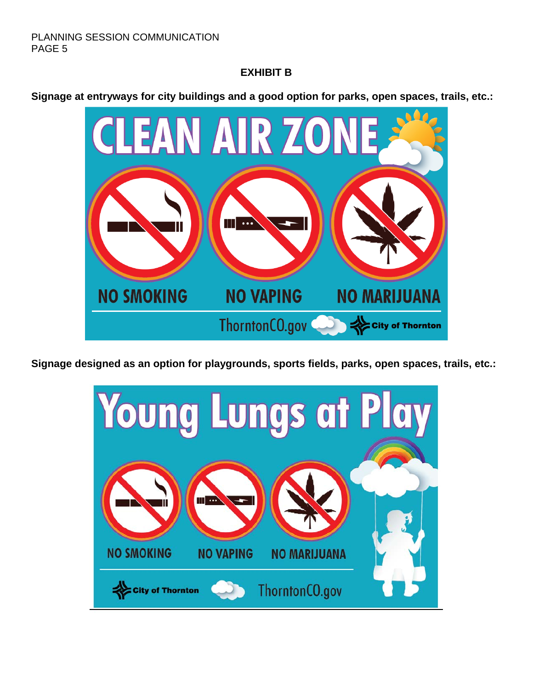## **EXHIBIT B**

**Signage at entryways for city buildings and a good option for parks, open spaces, trails, etc.:**



**Signage designed as an option for playgrounds, sports fields, parks, open spaces, trails, etc.:**

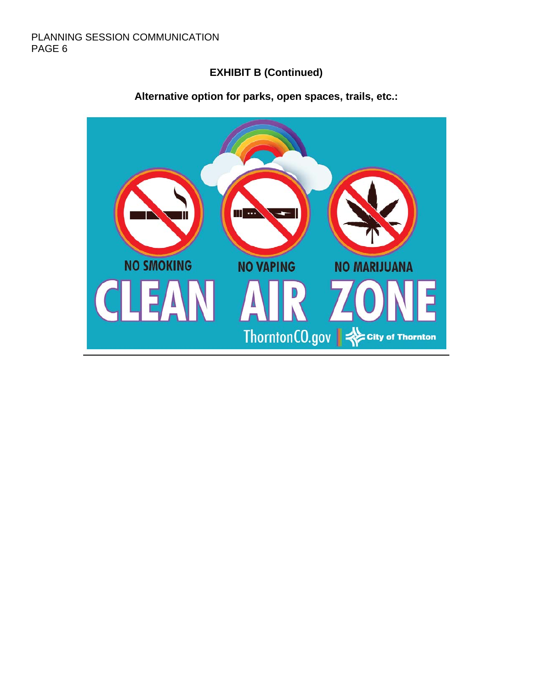## **EXHIBIT B (Continued)**



## **Alternative option for parks, open spaces, trails, etc.:**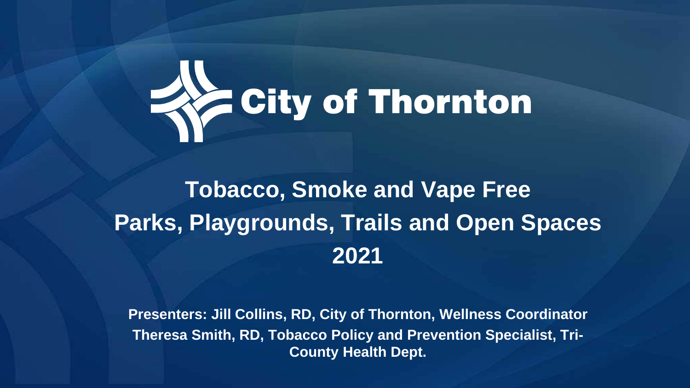

# **Tobacco, Smoke and Vape Free Parks, Playgrounds, Trails and Open Spaces 2021**

**Presenters: Jill Collins, RD, City of Thornton, Wellness Coordinator Theresa Smith, RD, Tobacco Policy and Prevention Specialist, Tri-County Health Dept.**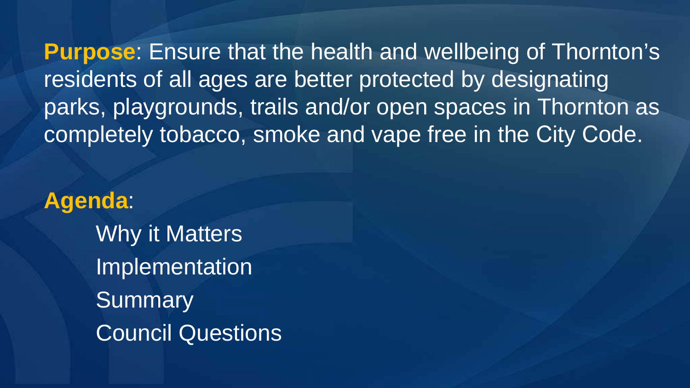**Purpose**: Ensure that the health and wellbeing of Thornton's residents of all ages are better protected by designating parks, playgrounds, trails and/or open spaces in Thornton as completely tobacco, smoke and vape free in the City Code.

**Agenda**: Why it Matters Implementation **Summary** Council Questions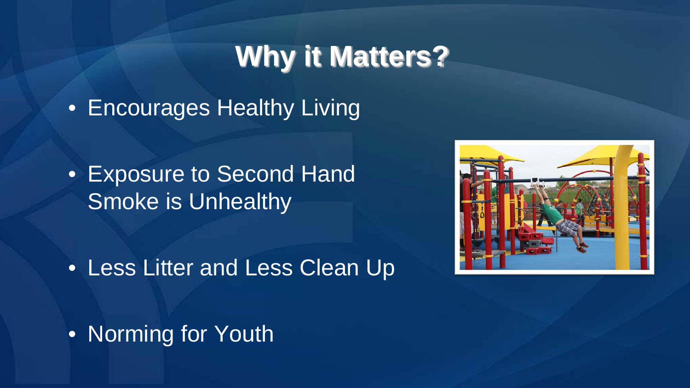## **Why it Matters?**

• Encourages Healthy Living

• Exposure to Second Hand Smoke is Unhealthy

• Less Litter and Less Clean Up

• Norming for Youth

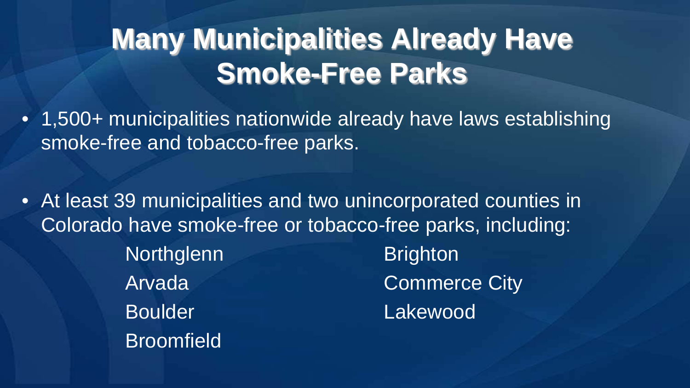# **Many Municipalities Already Have Smoke-Free Parks**

- 1,500+ municipalities nationwide already have laws establishing smoke-free and tobacco-free parks.
- At least 39 municipalities and two unincorporated counties in Colorado have smoke-free or tobacco-free parks, including: Northglenn Brighton Arvada **Commerce City** Boulder **Lakewood Broomfield**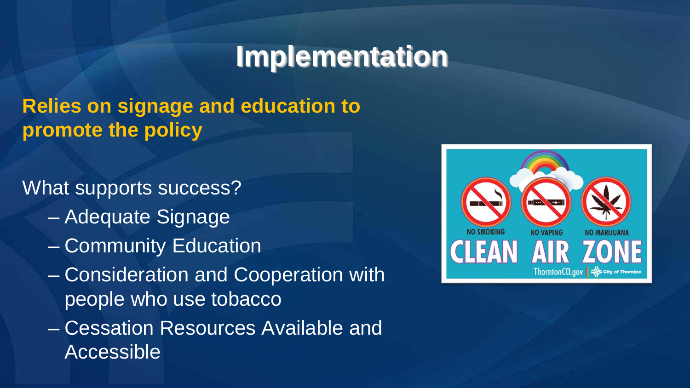## **Implementation**

## **Relies on signage and education to promote the policy**

What supports success?

- Adequate Signage
- Community Education
- Consideration and Cooperation with people who use tobacco
- Cessation Resources Available and Accessible

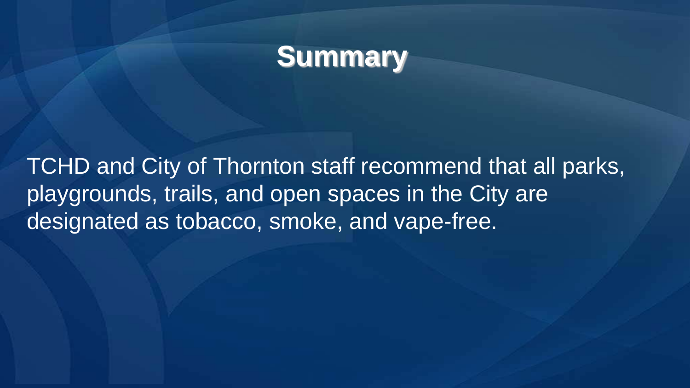## **Summary**

TCHD and City of Thornton staff recommend that all parks, playgrounds, trails, and open spaces in the City are designated as tobacco, smoke, and vape-free.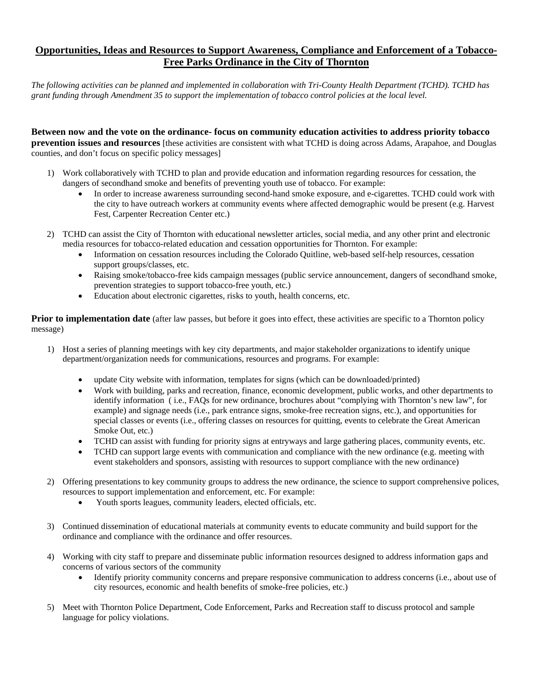### **Opportunities, Ideas and Resources to Support Awareness, Compliance and Enforcement of a Tobacco-Free Parks Ordinance in the City of Thornton**

*The following activities can be planned and implemented in collaboration with Tri-County Health Department (TCHD). TCHD has grant funding through Amendment 35 to support the implementation of tobacco control policies at the local level.* 

**Between now and the vote on the ordinance- focus on community education activities to address priority tobacco prevention issues and resources** [these activities are consistent with what TCHD is doing across Adams, Arapahoe, and Douglas counties, and don't focus on specific policy messages]

- 1) Work collaboratively with TCHD to plan and provide education and information regarding resources for cessation, the dangers of secondhand smoke and benefits of preventing youth use of tobacco. For example:
	- In order to increase awareness surrounding second-hand smoke exposure, and e-cigarettes. TCHD could work with the city to have outreach workers at community events where affected demographic would be present (e.g. Harvest Fest, Carpenter Recreation Center etc.)
- 2) TCHD can assist the City of Thornton with educational newsletter articles, social media, and any other print and electronic media resources for tobacco-related education and cessation opportunities for Thornton. For example:
	- Information on cessation resources including the Colorado Quitline, web-based self-help resources, cessation support groups/classes, etc.
	- Raising smoke/tobacco-free kids campaign messages (public service announcement, dangers of secondhand smoke, prevention strategies to support tobacco-free youth, etc.)
	- Education about electronic cigarettes, risks to youth, health concerns, etc.

**Prior to implementation date** (after law passes, but before it goes into effect, these activities are specific to a Thornton policy message)

- 1) Host a series of planning meetings with key city departments, and major stakeholder organizations to identify unique department/organization needs for communications, resources and programs. For example:
	- update City website with information, templates for signs (which can be downloaded/printed)
	- Work with building, parks and recreation, finance, economic development, public works, and other departments to identify information ( i.e., FAQs for new ordinance, brochures about "complying with Thornton's new law", for example) and signage needs (i.e., park entrance signs, smoke-free recreation signs, etc.), and opportunities for special classes or events (i.e., offering classes on resources for quitting, events to celebrate the Great American Smoke Out, etc.)
	- TCHD can assist with funding for priority signs at entryways and large gathering places, community events, etc.
	- TCHD can support large events with communication and compliance with the new ordinance (e.g. meeting with event stakeholders and sponsors, assisting with resources to support compliance with the new ordinance)
- 2) Offering presentations to key community groups to address the new ordinance, the science to support comprehensive polices, resources to support implementation and enforcement, etc. For example:
	- Youth sports leagues, community leaders, elected officials, etc.
- 3) Continued dissemination of educational materials at community events to educate community and build support for the ordinance and compliance with the ordinance and offer resources.
- 4) Working with city staff to prepare and disseminate public information resources designed to address information gaps and concerns of various sectors of the community
	- Identify priority community concerns and prepare responsive communication to address concerns (i.e., about use of city resources, economic and health benefits of smoke-free policies, etc.)
- 5) Meet with Thornton Police Department, Code Enforcement, Parks and Recreation staff to discuss protocol and sample language for policy violations.